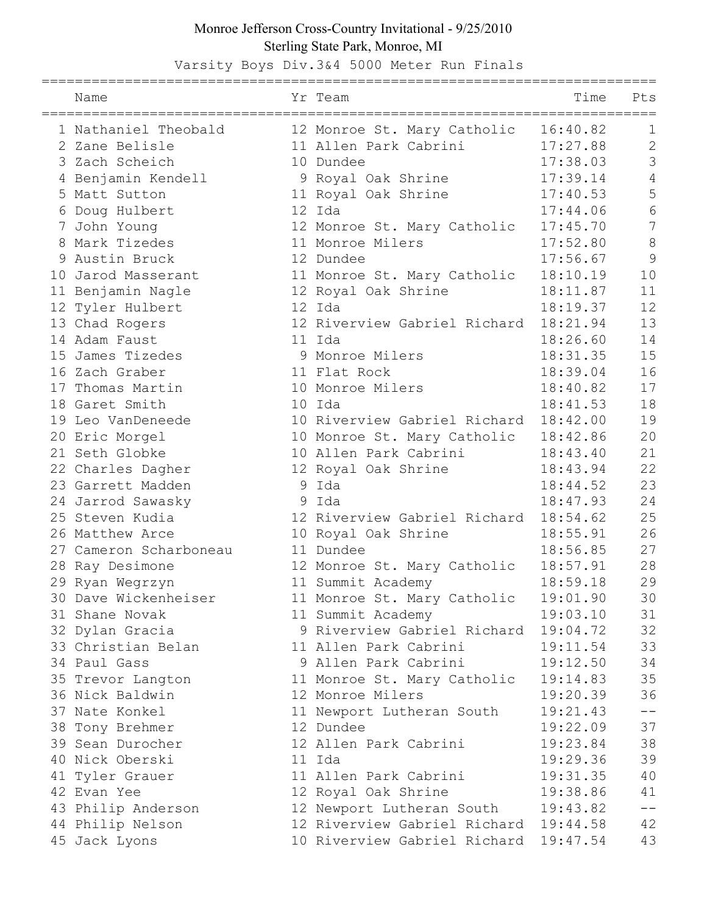## Monroe Jefferson Cross-Country Invitational - 9/25/2010 Sterling State Park, Monroe, MI

Varsity Boys Div.3&4 5000 Meter Run Finals

| Name                   |   | Yr Team                                                                     | Time     | Pts            |
|------------------------|---|-----------------------------------------------------------------------------|----------|----------------|
| 1 Nathaniel Theobald   |   | 12 Monroe St. Mary Catholic                                                 | 16:40.82 | 1              |
| 2 Zane Belisle         |   | 11 Allen Park Cabrini                                                       | 17:27.88 | $\mathbf{2}$   |
| 3 Zach Scheich         |   | 10 Dundee                                                                   | 17:38.03 | 3              |
| 4 Benjamin Kendell     |   | 9 Royal Oak Shrine                                                          | 17:39.14 | 4              |
| 5 Matt Sutton          |   | 11 Royal Oak Shrine                                                         | 17:40.53 | 5              |
| 6 Doug Hulbert         |   | 12 Ida                                                                      | 17:44.06 | 6              |
| 7 John Young           |   | 12 Monroe St. Mary Catholic                                                 | 17:45.70 | $\overline{7}$ |
| 8 Mark Tizedes         |   | 11 Monroe Milers                                                            | 17:52.80 | $8\,$          |
| 9 Austin Bruck         |   | 12 Dundee                                                                   | 17:56.67 | 9              |
| 10 Jarod Masserant     |   | 11 Monroe St. Mary Catholic                                                 | 18:10.19 | 10             |
| 11 Benjamin Nagle      |   | 12 Royal Oak Shrine                                                         | 18:11.87 | 11             |
| 12 Tyler Hulbert       |   | 12 Ida                                                                      | 18:19.37 | 12             |
| 13 Chad Rogers         |   | 12 Riverview Gabriel Richard 18:21.94                                       |          | 13             |
| 14 Adam Faust          |   | 11 Ida                                                                      | 18:26.60 | 14             |
| 15 James Tizedes       |   | 9 Monroe Milers                                                             | 18:31.35 | 15             |
| 16 Zach Graber         |   | 11 Flat Rock                                                                | 18:39.04 | 16             |
| 17 Thomas Martin       |   | 10 Monroe Milers                                                            | 18:40.82 | 17             |
| 18 Garet Smith         |   | 10 Ida                                                                      | 18:41.53 | 18             |
| 19 Leo VanDeneede      |   | 10 Riverview Gabriel Richard 18:42.00                                       |          | 19             |
| 20 Eric Morgel         |   | 10 Monroe St. Mary Catholic                                                 | 18:42.86 | 20             |
| 21 Seth Globke         |   | 10 Allen Park Cabrini                                                       | 18:43.40 | 21             |
| 22 Charles Dagher      |   | 12 Royal Oak Shrine                                                         | 18:43.94 | 22             |
| 23 Garrett Madden      | 9 | Ida                                                                         | 18:44.52 | 23             |
| 24 Jarrod Sawasky      |   | 9 Ida                                                                       | 18:47.93 | 24             |
| 25 Steven Kudia        |   | 12 Riverview Gabriel Richard 18:54.62                                       |          | 25             |
| 26 Matthew Arce        |   | 10 Royal Oak Shrine                                                         | 18:55.91 | 26             |
| 27 Cameron Scharboneau |   | 11 Dundee                                                                   | 18:56.85 | 27             |
| 28 Ray Desimone        |   | 12 Monroe St. Mary Catholic                                                 | 18:57.91 | 28             |
| 29 Ryan Wegrzyn        |   | 11 Summit Academy                                                           | 18:59.18 | 29             |
| 30 Dave Wickenheiser   |   | 11 Monroe St. Mary Catholic                                                 | 19:01.90 | 30             |
| 31 Shane Novak         |   | 11 Summit Academy                                                           | 19:03.10 | 31             |
| 32 Dylan Gracia        |   | 9 Riverview Gabriel Richard 19:04.72                                        |          | 32             |
| 33 Christian Belan     |   | 11 Allen Park Cabrini                                                       | 19:11.54 | 33             |
| 34 Paul Gass           |   | 9 Allen Park Cabrini                                                        | 19:12.50 | 34             |
| 35 Trevor Langton      |   | 11 Monroe St. Mary Catholic                                                 | 19:14.83 | 35             |
| 36 Nick Baldwin        |   | 12 Monroe Milers                                                            | 19:20.39 | 36             |
| 37 Nate Konkel         |   | 11 Newport Lutheran South                                                   | 19:21.43 | $-\,-$         |
| 38 Tony Brehmer        |   | 12 Dundee                                                                   | 19:22.09 | 37             |
| 39 Sean Durocher       |   | 12 Allen Park Cabrini                                                       | 19:23.84 | 38             |
| 40 Nick Oberski        |   | 11 Ida                                                                      | 19:29.36 | 39             |
| 41 Tyler Grauer        |   | 11 Allen Park Cabrini                                                       | 19:31.35 | 40             |
| 42 Evan Yee            |   | 12 Royal Oak Shrine                                                         | 19:38.86 | 41<br>$-\,-$   |
| 43 Philip Anderson     |   | 12 Newport Lutheran South 19:43.82<br>12 Riverview Gabriel Richard 19:44.58 |          |                |
| 44 Philip Nelson       |   |                                                                             |          | 42             |
| 45 Jack Lyons          |   | 10 Riverview Gabriel Richard 19:47.54                                       |          | 43             |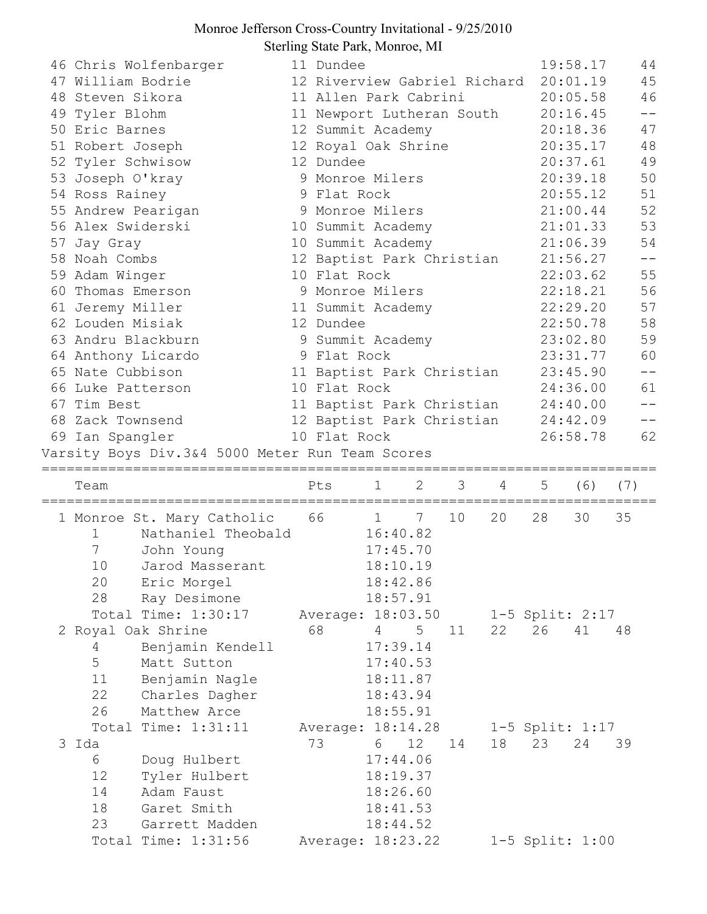## Monroe Jefferson Cross-Country Invitational - 9/25/2010 Sterling State Park, Monroe, MI

| 46 Chris Wolfenbarger                           |  | 11 Dundee                    |                |                |    |                     | 19:58.17 | 44                |
|-------------------------------------------------|--|------------------------------|----------------|----------------|----|---------------------|----------|-------------------|
| 47 William Bodrie                               |  | 12 Riverview Gabriel Richard |                |                |    |                     | 20:01.19 | 45                |
| 48 Steven Sikora                                |  | 11 Allen Park Cabrini        |                |                |    |                     | 20:05.58 | 46                |
| 49 Tyler Blohm                                  |  | 11 Newport Lutheran South    |                |                |    |                     | 20:16.45 | $- -$             |
| 50 Eric Barnes                                  |  | 12 Summit Academy            |                |                |    |                     | 20:18.36 | 47                |
| 51 Robert Joseph                                |  | 12 Royal Oak Shrine          |                |                |    |                     | 20:35.17 | 48                |
| 52 Tyler Schwisow                               |  | 12 Dundee                    |                |                |    |                     | 20:37.61 | 49                |
| 53 Joseph O'kray                                |  | 9 Monroe Milers              |                |                |    | 20:39.18            | 50       |                   |
| 54 Ross Rainey                                  |  | 9 Flat Rock                  |                |                |    | 20:55.12            | 51       |                   |
| 55 Andrew Pearigan                              |  | 9 Monroe Milers              |                |                |    |                     | 21:00.44 | 52                |
| 56 Alex Swiderski                               |  | 10 Summit Academy            |                |                |    |                     | 21:01.33 | 53                |
| 57 Jay Gray                                     |  | 10 Summit Academy            |                |                |    |                     | 21:06.39 | 54                |
| 58 Noah Combs                                   |  | 12 Baptist Park Christian    |                |                |    |                     | 21:56.27 | $\equiv$ $\equiv$ |
| 59 Adam Winger                                  |  | 10 Flat Rock                 |                |                |    |                     | 22:03.62 | 55                |
| 60 Thomas Emerson                               |  | 9 Monroe Milers              |                |                |    |                     | 22:18.21 | 56                |
| 61 Jeremy Miller                                |  | 11 Summit Academy            |                |                |    |                     | 22:29.20 | 57                |
| 62 Louden Misiak                                |  | 12 Dundee                    |                |                |    |                     | 22:50.78 | 58                |
| 63 Andru Blackburn                              |  | 9 Summit Academy             |                |                |    |                     | 23:02.80 | 59                |
| 64 Anthony Licardo                              |  | 9 Flat Rock                  |                |                |    |                     | 23:31.77 | 60                |
| 65 Nate Cubbison                                |  | 11 Baptist Park Christian    |                |                |    |                     | 23:45.90 | $-\,-$            |
| 10 Flat Rock<br>66 Luke Patterson               |  |                              |                |                |    |                     | 24:36.00 | 61                |
| 67 Tim Best                                     |  | 11 Baptist Park Christian    |                |                |    |                     | 24:40.00 |                   |
| 68 Zack Townsend<br>12 Baptist Park Christian   |  |                              |                |                |    |                     | 24:42.09 | $\qquad \qquad -$ |
| 69 Ian Spangler                                 |  | 10 Flat Rock                 |                |                |    |                     | 26:58.78 | 62                |
| Varsity Boys Div.3&4 5000 Meter Run Team Scores |  |                              |                |                |    |                     |          |                   |
|                                                 |  |                              |                | ============== |    |                     |          |                   |
| Team                                            |  | 1<br>Pts                     | 2              | 3              | 4  | 5                   | (6)      | (7)               |
|                                                 |  |                              |                |                |    |                     |          |                   |
|                                                 |  |                              |                |                |    |                     |          |                   |
| 1 Monroe St. Mary Catholic 66 1                 |  |                              | 7              | 10             | 20 | 28                  | 30       | 35                |
| Nathaniel Theobald<br>1                         |  | 16:40.82                     |                |                |    |                     |          |                   |
| $\overline{7}$<br>John Young                    |  |                              | 17:45.70       |                |    |                     |          |                   |
| 10<br>Jarod Masserant                           |  |                              | 18:10.19       |                |    |                     |          |                   |
| 20<br>Eric Morgel                               |  |                              | 18:42.86       |                |    |                     |          |                   |
| 28<br>Ray Desimone                              |  |                              | 18:57.91       |                |    |                     |          |                   |
| Total Time: 1:30:17                             |  | Average: 18:03.50            |                |                |    | $1-5$ Split: $2:17$ |          |                   |
| 2 Royal Oak Shrine                              |  | 68<br>4                      | 5 <sup>5</sup> | 11             | 22 | 26                  | 41       | 48                |
| Benjamin Kendell<br>4                           |  |                              | 17:39.14       |                |    |                     |          |                   |
| 5<br>Matt Sutton                                |  |                              | 17:40.53       |                |    |                     |          |                   |
| 11<br>Benjamin Nagle                            |  |                              | 18:11.87       |                |    |                     |          |                   |
| 22<br>Charles Dagher                            |  |                              | 18:43.94       |                |    |                     |          |                   |
| 26<br>Matthew Arce                              |  |                              | 18:55.91       |                |    |                     |          |                   |
| Total Time: 1:31:11                             |  | Average: 18:14.28            |                |                |    | $1-5$ Split: 1:17   |          |                   |
| 3 Ida                                           |  | 73<br>6                      | 12             | 14             | 18 | 23                  | 24       | 39                |
| 6<br>Doug Hulbert                               |  |                              | 17:44.06       |                |    |                     |          |                   |
| 12<br>Tyler Hulbert                             |  |                              | 18:19.37       |                |    |                     |          |                   |
| 14<br>Adam Faust                                |  |                              | 18:26.60       |                |    |                     |          |                   |
| 18<br>Garet Smith                               |  |                              | 18:41.53       |                |    |                     |          |                   |
| 23<br>Garrett Madden                            |  |                              | 18:44.52       |                |    |                     |          |                   |
| Total Time: 1:31:56                             |  | Average: 18:23.22            |                |                |    | 1-5 Split: 1:00     |          |                   |